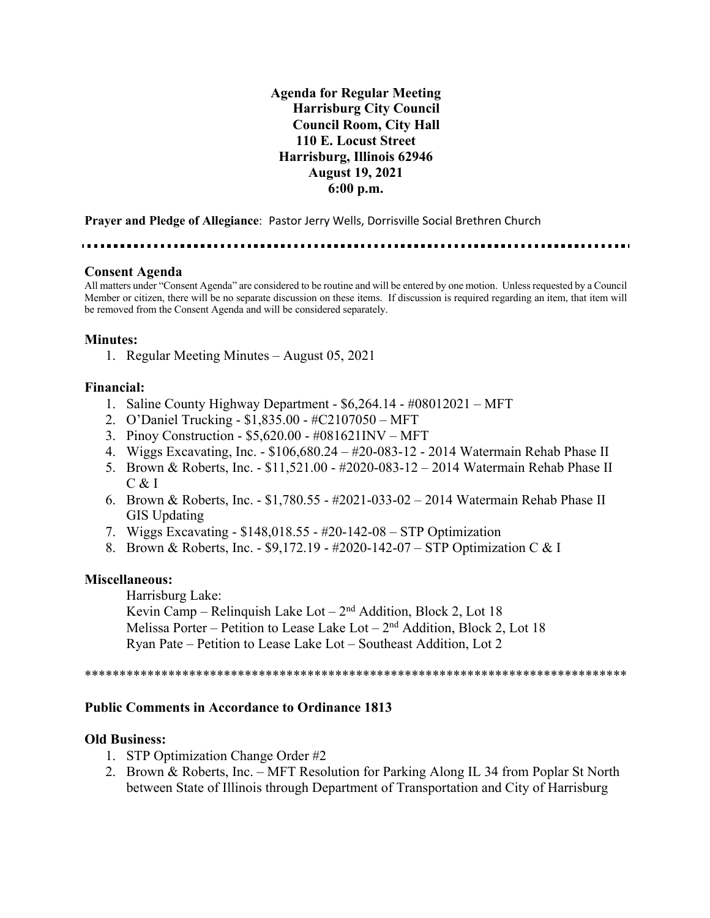**Agenda for Regular Meeting Harrisburg City Council Council Room, City Hall 110 E. Locust Street Harrisburg, Illinois 62946 August 19, 2021 6:00 p.m.**

**Prayer and Pledge of Allegiance**: Pastor Jerry Wells, Dorrisville Social Brethren Church

#### **Consent Agenda**

All matters under "Consent Agenda" are considered to be routine and will be entered by one motion. Unless requested by a Council Member or citizen, there will be no separate discussion on these items. If discussion is required regarding an item, that item will be removed from the Consent Agenda and will be considered separately.

### **Minutes:**

1. Regular Meeting Minutes – August 05, 2021

### **Financial:**

- 1. Saline County Highway Department \$6,264.14 #08012021 MFT
- 2. O'Daniel Trucking \$1,835.00 #C2107050 MFT
- 3. Pinoy Construction \$5,620.00 #081621INV MFT
- 4. Wiggs Excavating, Inc. \$106,680.24 #20-083-12 2014 Watermain Rehab Phase II
- 5. Brown & Roberts, Inc. \$11,521.00 #2020-083-12 2014 Watermain Rehab Phase II  $C & I$
- 6. Brown & Roberts, Inc. \$1,780.55 #2021-033-02 2014 Watermain Rehab Phase II GIS Updating
- 7. Wiggs Excavating \$148,018.55 #20-142-08 STP Optimization
- 8. Brown & Roberts, Inc. \$9,172.19 #2020-142-07 STP Optimization C & I

### **Miscellaneous:**

Harrisburg Lake: Kevin Camp – Relinquish Lake Lot –  $2<sup>nd</sup>$  Addition, Block 2, Lot 18 Melissa Porter – Petition to Lease Lake Lot –  $2<sup>nd</sup>$  Addition, Block 2, Lot 18 Ryan Pate – Petition to Lease Lake Lot – Southeast Addition, Lot 2

\*\*\*\*\*\*\*\*\*\*\*\*\*\*\*\*\*\*\*\*\*\*\*\*\*\*\*\*\*\*\*\*\*\*\*\*\*\*\*\*\*\*\*\*\*\*\*\*\*\*\*\*\*\*\*\*\*\*\*\*\*\*\*\*\*\*\*\*\*\*\*\*\*\*\*\*\*\*

## **Public Comments in Accordance to Ordinance 1813**

### **Old Business:**

- 1. STP Optimization Change Order #2
- 2. Brown & Roberts, Inc. MFT Resolution for Parking Along IL 34 from Poplar St North between State of Illinois through Department of Transportation and City of Harrisburg